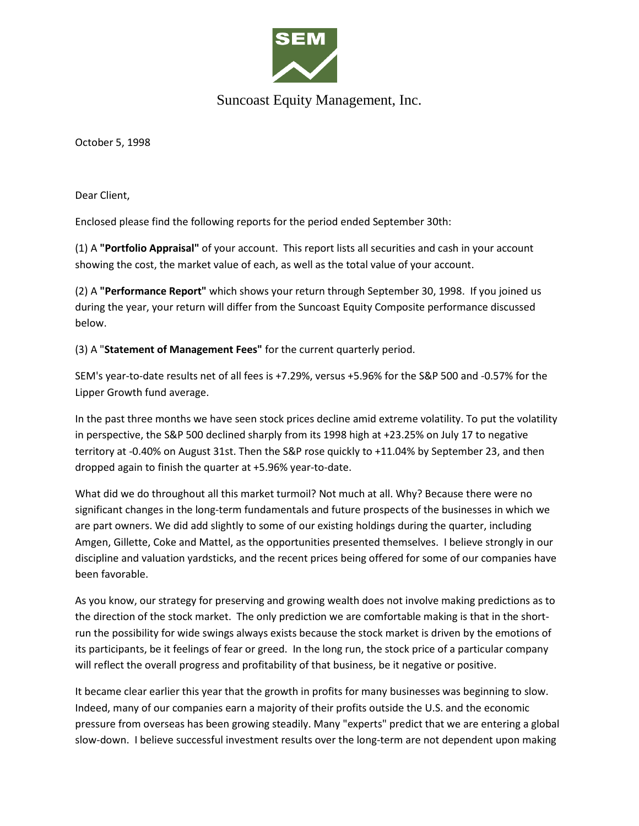

## Suncoast Equity Management, Inc.

October 5, 1998

Dear Client,

Enclosed please find the following reports for the period ended September 30th:

(1) A **"Portfolio Appraisal"** of your account. This report lists all securities and cash in your account showing the cost, the market value of each, as well as the total value of your account.

(2) A **"Performance Report"** which shows your return through September 30, 1998. If you joined us during the year, your return will differ from the Suncoast Equity Composite performance discussed below.

(3) A "**Statement of Management Fees"** for the current quarterly period.

SEM's year-to-date results net of all fees is +7.29%, versus +5.96% for the S&P 500 and -0.57% for the Lipper Growth fund average.

In the past three months we have seen stock prices decline amid extreme volatility. To put the volatility in perspective, the S&P 500 declined sharply from its 1998 high at +23.25% on July 17 to negative territory at -0.40% on August 31st. Then the S&P rose quickly to +11.04% by September 23, and then dropped again to finish the quarter at +5.96% year-to-date.

What did we do throughout all this market turmoil? Not much at all. Why? Because there were no significant changes in the long-term fundamentals and future prospects of the businesses in which we are part owners. We did add slightly to some of our existing holdings during the quarter, including Amgen, Gillette, Coke and Mattel, as the opportunities presented themselves. I believe strongly in our discipline and valuation yardsticks, and the recent prices being offered for some of our companies have been favorable.

As you know, our strategy for preserving and growing wealth does not involve making predictions as to the direction of the stock market. The only prediction we are comfortable making is that in the shortrun the possibility for wide swings always exists because the stock market is driven by the emotions of its participants, be it feelings of fear or greed. In the long run, the stock price of a particular company will reflect the overall progress and profitability of that business, be it negative or positive.

It became clear earlier this year that the growth in profits for many businesses was beginning to slow. Indeed, many of our companies earn a majority of their profits outside the U.S. and the economic pressure from overseas has been growing steadily. Many "experts" predict that we are entering a global slow-down. I believe successful investment results over the long-term are not dependent upon making